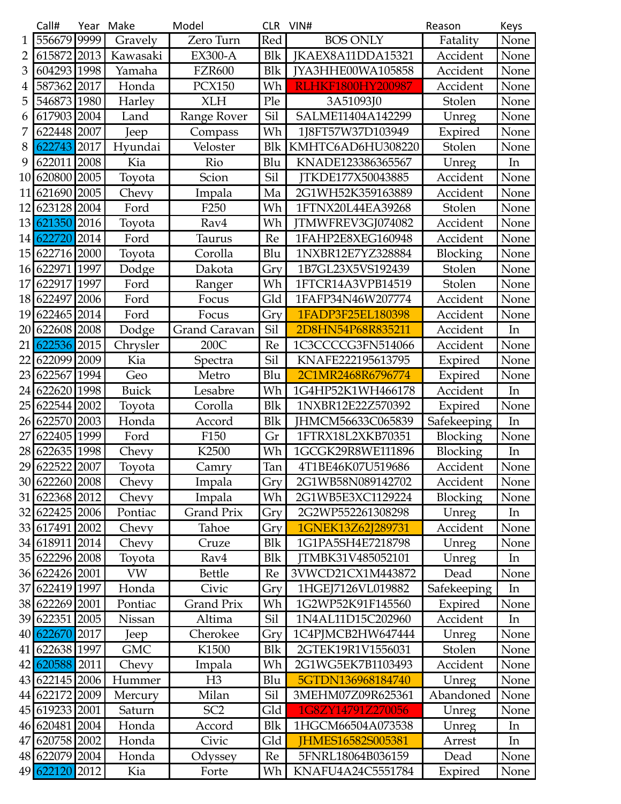|                 | Call#          | Year | Make         | Model                | <b>CLR</b> | VIN#                     | Reason          | Keys |
|-----------------|----------------|------|--------------|----------------------|------------|--------------------------|-----------------|------|
| 1               | 556679         | 9999 | Gravely      | Zero Turn            | Red        | <b>BOS ONLY</b>          | Fatality        | None |
| 2               | 615872 2013    |      | Kawasaki     | <b>EX300-A</b>       | <b>Blk</b> | JKAEX8A11DDA15321        | Accident        | None |
| 3               | 604293 1998    |      | Yamaha       | <b>FZR600</b>        | <b>Blk</b> | JYA3HHE00WA105858        | Accident        | None |
| 4               | 587362         | 2017 | Honda        | <b>PCX150</b>        | Wh         | <b>RLHKF1800HY200987</b> | Accident        | None |
| 5               | 546873         | 1980 | Harley       | <b>XLH</b>           | Ple        | 3A51093J0                | Stolen          | None |
| 6               | 617903 2004    |      | Land         | Range Rover          | Sil        | SALME11404A142299        | Unreg           | None |
|                 | 622448 2007    |      | Jeep         | Compass              | Wh         | 1J8FT57W37D103949        | Expired         | None |
| 8               | 622743 2017    |      | Hyundai      | Veloster             | <b>Blk</b> | KMHTC6AD6HU308220        | Stolen          | None |
| 9               | 622011 2008    |      | Kia          | Rio                  | Blu        | KNADE123386365567        | Unreg           | In   |
| 10              | 620800 2005    |      | Toyota       | Scion                | Sil        | JTKDE177X50043885        | Accident        | None |
| 11              | 621690 2005    |      | Chevy        | Impala               | Ma         | 2G1WH52K359163889        | Accident        | None |
| 12              | 623128 2004    |      | Ford         | F <sub>250</sub>     | Wh         | 1FTNX20L44EA39268        | Stolen          | None |
|                 | 13 621350 2016 |      | Toyota       | Rav4                 | Wh         | JTMWFREV3GJ074082        | Accident        | None |
| 14              | 622720 2014    |      | Ford         | Taurus               | Re         | 1FAHP2E8XEG160948        | Accident        | None |
| 15 <sup>1</sup> | 622716 2000    |      | Toyota       | Corolla              | Blu        | 1NXBR12E7YZ328884        | Blocking        | None |
| 16              | 622971         | 1997 | Dodge        | Dakota               | Gry        | 1B7GL23X5VS192439        | Stolen          | None |
| 17              | 622917         | 1997 | Ford         | Ranger               | Wh         | 1FTCR14A3VPB14519        | Stolen          | None |
| 18              | 622497         | 2006 | Ford         | Focus                | Gld        | 1FAFP34N46W207774        | Accident        | None |
| 19              | 622465 2014    |      | Ford         | Focus                | Gry        | 1FADP3F25EL180398        | Accident        | None |
| 20              | 622608 2008    |      | Dodge        | <b>Grand Caravan</b> | Sil        | 2D8HN54P68R835211        | Accident        | In   |
| 21              | 622536 2015    |      | Chrysler     | 200C                 | Re         | 1C3CCCCG3FN514066        | Accident        | None |
| 22              | 622099 2009    |      | Kia          | Spectra              | Sil        | KNAFE222195613795        | Expired         | None |
| 23              | 622567         | 1994 | Geo          | Metro                | Blu        | 2C1MR2468R6796774        | Expired         | None |
| 24              | 622620         | 1998 | <b>Buick</b> | Lesabre              | Wh         | 1G4HP52K1WH466178        | Accident        | In   |
| 25              | 622544 2002    |      | Toyota       | Corolla              | Blk        | 1NXBR12E22Z570392        | Expired         | None |
| 26              | 622570         | 2003 | Honda        | Accord               | <b>Blk</b> | JHMCM56633C065839        | Safekeeping     | In   |
| 27              | 622405         | 1999 | Ford         | F150                 | Gr         | 1FTRX18L2XKB70351        | Blocking        | None |
| 28              | 622635         | 1998 | Chevy        | K2500                | Wh         | 1GCGK29R8WE111896        | Blocking        | In   |
|                 | 29 622522 2007 |      | Toyota       | Camry                | Tan        | 4T1BE46K07U519686        | Accident        | None |
|                 | 30 622260 2008 |      | Chevy        | Impala               | Gry        | 2G1WB58N089142702        | Accident        | None |
|                 | 31 622368 2012 |      | Chevy        | Impala               | Wh         | 2G1WB5E3XC1129224        | <b>Blocking</b> | None |
|                 | 32 622425 2006 |      | Pontiac      | <b>Grand Prix</b>    | Gry        | 2G2WP552261308298        | Unreg           | In   |
|                 | 33 617491 2002 |      | Chevy        | Tahoe                | Gry        | 1GNEK13Z62J289731        | Accident        | None |
|                 | 34 618911 2014 |      | Chevy        | Cruze                | <b>Blk</b> | 1G1PA5SH4E7218798        | Unreg           | None |
|                 | 35 622296 2008 |      | Toyota       | Rav4                 | Blk        | TMBK31V485052101         | Unreg           | In   |
|                 | 36 622426 2001 |      | <b>VW</b>    | <b>Bettle</b>        | Re         | 3VWCD21CX1M443872        | Dead            | None |
|                 | 37 622419 1997 |      | Honda        | Civic                | Gry        | 1HGEJ7126VL019882        | Safekeeping     | In   |
|                 | 38 622269 2001 |      | Pontiac      | Grand Prix           | Wh         | 1G2WP52K91F145560        | Expired         | None |
|                 | 39 622351 2005 |      | Nissan       | Altima               | Sil        | 1N4AL11D15C202960        | Accident        | In   |
|                 | 40 622670 2017 |      | Jeep         | Cherokee             | Gry        | 1C4PJMCB2HW647444        | Unreg           | None |
|                 | 41 622638 1997 |      | <b>GMC</b>   | K1500                | <b>Blk</b> | 2GTEK19R1V1556031        | Stolen          | None |
|                 | 42 620588 2011 |      | Chevy        | Impala               | Wh         | 2G1WG5EK7B1103493        | Accident        | None |
|                 | 43 622145 2006 |      | Hummer       | H <sub>3</sub>       | Blu        | 5GTDN136968184740        | Unreg           | None |
|                 | 44 622172 2009 |      | Mercury      | Milan                | Sil        | 3MEHM07Z09R625361        | Abandoned       | None |
|                 | 45 619233 2001 |      | Saturn       | SC <sub>2</sub>      | Gld        | 1G8ZY14791Z270056        | Unreg           | None |
|                 | 46 620481 2004 |      | Honda        | Accord               | Blk        | 1HGCM66504A073538        | Unreg           | In   |
|                 | 47 620758 2002 |      | Honda        | Civic                | Gld        | JHMES16582S005381        | Arrest          | In   |
|                 | 48 622079 2004 |      | Honda        | Odyssey              | Re         | 5FNRL18064B036159        | Dead            | None |
|                 | 49 622120      | 2012 | Kia          | Forte                | Wh         | KNAFU4A24C5551784        | Expired         | None |
|                 |                |      |              |                      |            |                          |                 |      |